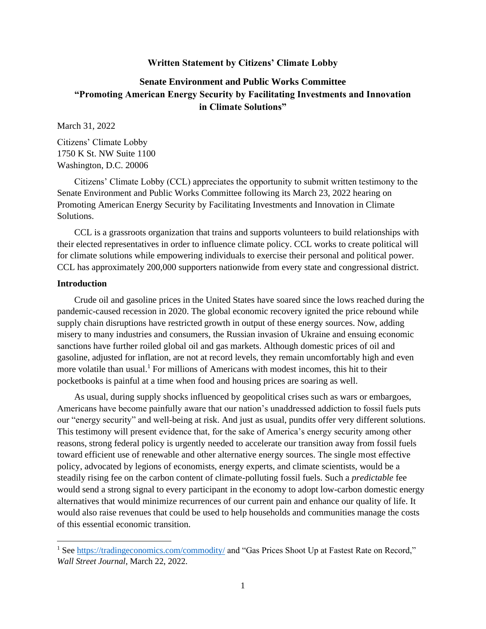### **Written Statement by Citizens' Climate Lobby**

# **Senate Environment and Public Works Committee "Promoting American Energy Security by Facilitating Investments and Innovation in Climate Solutions"**

March 31, 2022

Citizens' Climate Lobby 1750 K St. NW Suite 1100 Washington, D.C. 20006

Citizens' Climate Lobby (CCL) appreciates the opportunity to submit written testimony to the Senate Environment and Public Works Committee following its March 23, 2022 hearing on Promoting American Energy Security by Facilitating Investments and Innovation in Climate Solutions.

CCL is a grassroots organization that trains and supports volunteers to build relationships with their elected representatives in order to influence climate policy. CCL works to create political will for climate solutions while empowering individuals to exercise their personal and political power. CCL has approximately 200,000 supporters nationwide from every state and congressional district.

## **Introduction**

Crude oil and gasoline prices in the United States have soared since the lows reached during the pandemic-caused recession in 2020. The global economic recovery ignited the price rebound while supply chain disruptions have restricted growth in output of these energy sources. Now, adding misery to many industries and consumers, the Russian invasion of Ukraine and ensuing economic sanctions have further roiled global oil and gas markets. Although domestic prices of oil and gasoline, adjusted for inflation, are not at record levels, they remain uncomfortably high and even more volatile than usual.<sup>1</sup> For millions of Americans with modest incomes, this hit to their pocketbooks is painful at a time when food and housing prices are soaring as well.

As usual, during supply shocks influenced by geopolitical crises such as wars or embargoes, Americans have become painfully aware that our nation's unaddressed addiction to fossil fuels puts our "energy security" and well-being at risk. And just as usual, pundits offer very different solutions. This testimony will present evidence that, for the sake of America's energy security among other reasons, strong federal policy is urgently needed to accelerate our transition away from fossil fuels toward efficient use of renewable and other alternative energy sources. The single most effective policy, advocated by legions of economists, energy experts, and climate scientists, would be a steadily rising fee on the carbon content of climate-polluting fossil fuels. Such a *predictable* fee would send a strong signal to every participant in the economy to adopt low-carbon domestic energy alternatives that would minimize recurrences of our current pain and enhance our quality of life. It would also raise revenues that could be used to help households and communities manage the costs of this essential economic transition.

<sup>&</sup>lt;sup>1</sup> See<https://tradingeconomics.com/commodity/> and "Gas Prices Shoot Up at Fastest Rate on Record," *Wall Street Journal*, March 22, 2022.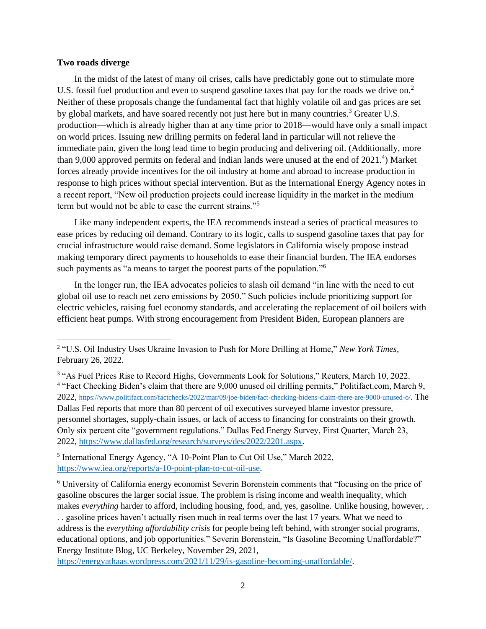## **Two roads diverge**

In the midst of the latest of many oil crises, calls have predictably gone out to stimulate more U.S. fossil fuel production and even to suspend gasoline taxes that pay for the roads we drive on.<sup>2</sup> Neither of these proposals change the fundamental fact that highly volatile oil and gas prices are set by global markets, and have soared recently not just here but in many countries.<sup>3</sup> Greater U.S. production—which is already higher than at any time prior to 2018—would have only a small impact on world prices. Issuing new drilling permits on federal land in particular will not relieve the immediate pain, given the long lead time to begin producing and delivering oil. (Additionally, more than 9,000 approved permits on federal and Indian lands were unused at the end of  $2021.^4$ ) Market forces already provide incentives for the oil industry at home and abroad to increase production in response to high prices without special intervention. But as the International Energy Agency notes in a recent report, "New oil production projects could increase liquidity in the market in the medium term but would not be able to ease the current strains."<sup>5</sup>

Like many independent experts, the IEA recommends instead a series of practical measures to ease prices by reducing oil demand. Contrary to its logic, calls to suspend gasoline taxes that pay for crucial infrastructure would raise demand. Some legislators in California wisely propose instead making temporary direct payments to households to ease their financial burden. The IEA endorses such payments as "a means to target the poorest parts of the population."<sup>6</sup>

In the longer run, the IEA advocates policies to slash oil demand "in line with the need to cut global oil use to reach net zero emissions by 2050." Such policies include prioritizing support for electric vehicles, raising fuel economy standards, and accelerating the replacement of oil boilers with efficient heat pumps. With strong encouragement from President Biden, European planners are

<sup>2</sup> "U.S. Oil Industry Uses Ukraine Invasion to Push for More Drilling at Home," *New York Times*, February 26, 2022.

<sup>&</sup>lt;sup>3</sup> "As Fuel Prices Rise to Record Highs, Governments Look for Solutions," Reuters, March 10, 2022. <sup>4</sup> "Fact Checking Biden's claim that there are 9,000 unused oil drilling permits," Politifact.com, March 9, 2022, <https://www.politifact.com/factchecks/2022/mar/09/joe-biden/fact-checking-bidens-claim-there-are-9000-unused-o/>. The Dallas Fed reports that more than 80 percent of oil executives surveyed blame investor pressure, personnel shortages, supply-chain issues, or lack of access to financing for constraints on their growth. Only six percent cite "government regulations." Dallas Fed Energy Survey, First Quarter, March 23, 2022, [https://www.dallasfed.org/research/surveys/des/2022/2201.aspx.](https://www.dallasfed.org/research/surveys/des/2022/2201.aspx)

<sup>&</sup>lt;sup>5</sup> International Energy Agency, "A 10-Point Plan to Cut Oil Use," March 2022, [https://www.iea.org/reports/a-10-point-plan-to-cut-oil-use.](https://www.iea.org/reports/a-10-point-plan-to-cut-oil-use)

<sup>6</sup> University of California energy economist Severin Borenstein comments that "focusing on the price of gasoline obscures the larger social issue. The problem is rising income and wealth inequality, which makes *everything* harder to afford, including housing, food, and, yes, gasoline. Unlike housing, however, . . . gasoline prices haven't actually risen much in real terms over the last 17 years. What we need to address is the *everything affordability crisis* for people being left behind, with stronger social programs, educational options, and job opportunities." Severin Borenstein, "Is Gasoline Becoming Unaffordable?" Energy Institute Blog, UC Berkeley, November 29, 2021,

[https://energyathaas.wordpress.com/2021/11/29/is-gasoline-becoming-unaffordable/.](https://energyathaas.wordpress.com/2021/11/29/is-gasoline-becoming-unaffordable/)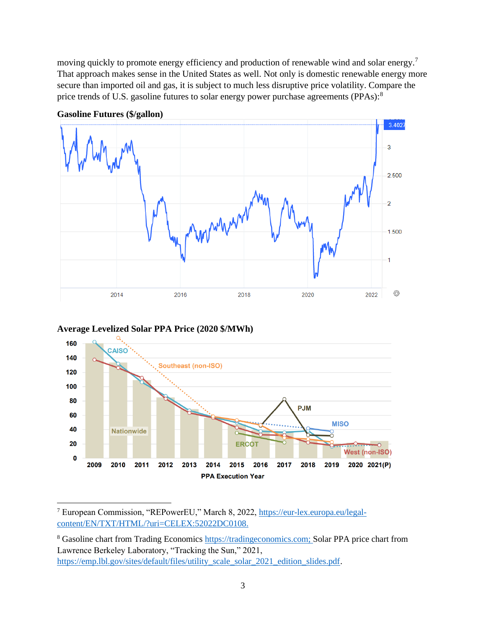moving quickly to promote energy efficiency and production of renewable wind and solar energy.<sup>7</sup> That approach makes sense in the United States as well. Not only is domestic renewable energy more secure than imported oil and gas, it is subject to much less disruptive price volatility. Compare the price trends of U.S. gasoline futures to solar energy power purchase agreements (PPAs):<sup>8</sup>



**Gasoline Futures (\$/gallon)**





<sup>7</sup> European Commission, "REPowerEU," March 8, 2022, [https://eur-lex.europa.eu/legal](https://eur-lex.europa.eu/legal-content/EN/TXT/HTML/?uri=CELEX:52022DC0108)[content/EN/TXT/HTML/?uri=CELEX:52022DC0108.](https://eur-lex.europa.eu/legal-content/EN/TXT/HTML/?uri=CELEX:52022DC0108)

<sup>&</sup>lt;sup>8</sup> Gasoline chart from Trading Economics https://tradingeconomics.com; Solar PPA price chart from Lawrence Berkeley Laboratory, "Tracking the Sun," 2021, [https://emp.lbl.gov/sites/default/files/utility\\_scale\\_solar\\_2021\\_edition\\_slides.pdf.](https://emp.lbl.gov/sites/default/files/utility_scale_solar_2021_edition_slides.pdf)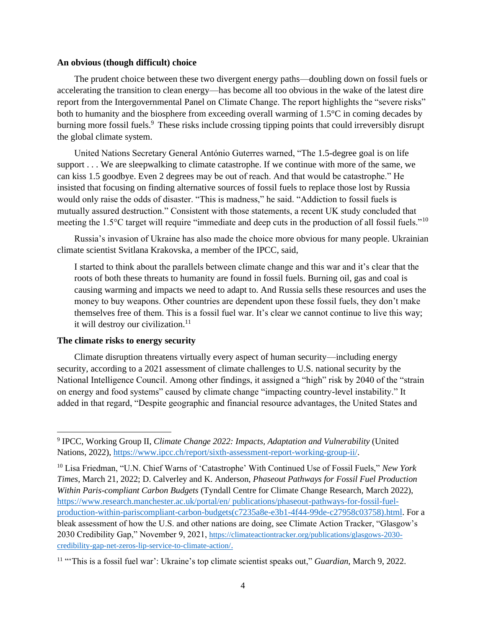#### **An obvious (though difficult) choice**

The prudent choice between these two divergent energy paths—doubling down on fossil fuels or accelerating the transition to clean energy—has become all too obvious in the wake of the latest dire report from the Intergovernmental Panel on Climate Change. The report highlights the "severe risks" both to humanity and the biosphere from exceeding overall warming of 1.5°C in coming decades by burning more fossil fuels.<sup>9</sup> These risks include crossing tipping points that could irreversibly disrupt the global climate system.

United Nations Secretary General António Guterres warned, "The 1.5-degree goal is on life support . . . We are sleepwalking to climate catastrophe. If we continue with more of the same, we can kiss 1.5 goodbye. Even 2 degrees may be out of reach. And that would be catastrophe." He insisted that focusing on finding alternative sources of fossil fuels to replace those lost by Russia would only raise the odds of disaster. "This is madness," he said. "Addiction to fossil fuels is mutually assured destruction." Consistent with those statements, a recent UK study concluded that meeting the 1.5°C target will require "immediate and deep cuts in the production of all fossil fuels."<sup>10</sup>

Russia's invasion of Ukraine has also made the choice more obvious for many people. Ukrainian climate scientist Svitlana Krakovska, a member of the IPCC, said,

I started to think about the parallels between climate change and this war and it's clear that the roots of both these threats to humanity are found in fossil fuels. Burning oil, gas and coal is causing warming and impacts we need to adapt to. And Russia sells these resources and uses the money to buy weapons. Other countries are dependent upon these fossil fuels, they don't make themselves free of them. This is a fossil fuel war. It's clear we cannot continue to live this way; it will destroy our civilization.<sup>11</sup>

## **The climate risks to energy security**

Climate disruption threatens virtually every aspect of human security—including energy security, according to a 2021 assessment of climate challenges to U.S. national security by the National Intelligence Council. Among other findings, it assigned a "high" risk by 2040 of the "strain on energy and food systems" caused by climate change "impacting country-level instability." It added in that regard, "Despite geographic and financial resource advantages, the United States and

<sup>9</sup> IPCC, Working Group II, *Climate Change 2022: Impacts, Adaptation and Vulnerability* (United Nations, 2022), [https://www.ipcc.ch/report/sixth-assessment-report-working-group-ii/.](https://www.ipcc.ch/report/sixth-assessment-report-working-group-ii/)

<sup>10</sup> Lisa Friedman, "U.N. Chief Warns of 'Catastrophe' With Continued Use of Fossil Fuels," *New York Times*, March 21, 2022; D. Calverley and K. Anderson, *Phaseout Pathways for Fossil Fuel Production Within Paris-compliant Carbon Budgets* (Tyndall Centre for Climate Change Research, March 2022), [https://www.research.manchester.ac.uk/portal/en/ publications/phaseout-pathways-for-fossil-fuel](https://www.research.manchester.ac.uk/portal/en/%20publications/phaseout-pathways-for-fossil-fuel-production-within-pariscompliant-carbon-budgets(c7235a8e-e3b1-4f44-99de-c27958c03758).html)[production-within-pariscompliant-carbon-budgets\(c7235a8e-e3b1-4f44-99de-c27958c03758\).html.](https://www.research.manchester.ac.uk/portal/en/%20publications/phaseout-pathways-for-fossil-fuel-production-within-pariscompliant-carbon-budgets(c7235a8e-e3b1-4f44-99de-c27958c03758).html) For a bleak assessment of how the U.S. and other nations are doing, see Climate Action Tracker, "Glasgow's 2030 Credibility Gap," November 9, 2021, [https://climateactiontracker.org/publications/glasgows-2030](https://climateactiontracker.org/publications/glasgows-2030-credibility-gap-net-zeros-lip-service-to-climate-action/) [credibility-gap-net-zeros-lip-service-to-climate-action/](https://climateactiontracker.org/publications/glasgows-2030-credibility-gap-net-zeros-lip-service-to-climate-action/).

<sup>11</sup> "'This is a fossil fuel war': Ukraine's top climate scientist speaks out," *Guardian*, March 9, 2022.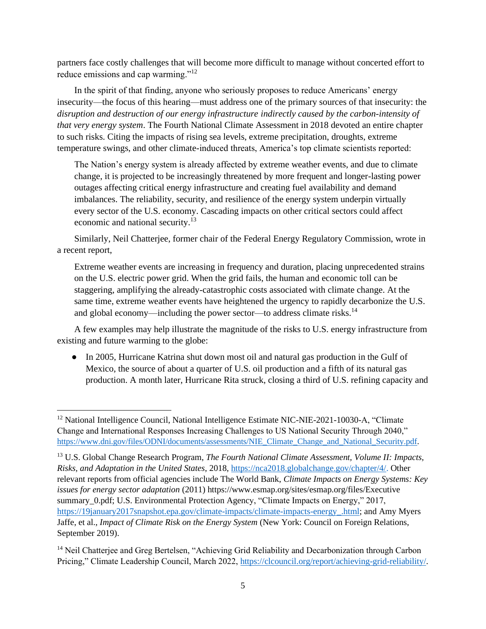partners face costly challenges that will become more difficult to manage without concerted effort to reduce emissions and cap warming."<sup>12</sup>

In the spirit of that finding, anyone who seriously proposes to reduce Americans' energy insecurity—the focus of this hearing—must address one of the primary sources of that insecurity: the *disruption and destruction of our energy infrastructure indirectly caused by the carbon-intensity of that very energy system*. The Fourth National Climate Assessment in 2018 devoted an entire chapter to such risks. Citing the impacts of rising sea levels, extreme precipitation, droughts, extreme temperature swings, and other climate-induced threats, America's top climate scientists reported:

The Nation's energy system is already affected by extreme weather events, and due to climate change, it is projected to be increasingly threatened by more frequent and longer-lasting power outages affecting critical energy infrastructure and creating fuel availability and demand imbalances. The reliability, security, and resilience of the energy system underpin virtually every sector of the U.S. economy. Cascading impacts on other critical sectors could affect economic and national security.<sup>13</sup>

Similarly, Neil Chatterjee, former chair of the Federal Energy Regulatory Commission, wrote in a recent report,

Extreme weather events are increasing in frequency and duration, placing unprecedented strains on the U.S. electric power grid. When the grid fails, the human and economic toll can be staggering, amplifying the already-catastrophic costs associated with climate change. At the same time, extreme weather events have heightened the urgency to rapidly decarbonize the U.S. and global economy—including the power sector—to address climate risks.<sup>14</sup>

A few examples may help illustrate the magnitude of the risks to U.S. energy infrastructure from existing and future warming to the globe:

• In 2005, Hurricane Katrina shut down most oil and natural gas production in the Gulf of Mexico, the source of about a quarter of U.S. oil production and a fifth of its natural gas production. A month later, Hurricane Rita struck, closing a third of U.S. refining capacity and

<sup>&</sup>lt;sup>12</sup> National Intelligence Council, National Intelligence Estimate NIC-NIE-2021-10030-A, "Climate Change and International Responses Increasing Challenges to US National Security Through 2040," [https://www.dni.gov/files/ODNI/documents/assessments/NIE\\_Climate\\_Change\\_and\\_National\\_Security.pdf.](https://www.dni.gov/files/ODNI/documents/assessments/NIE_Climate_Change_and_National_Security.pdf)

<sup>13</sup> U.S. Global Change Research Program, *The Fourth National Climate Assessment, Volume II: Impacts, Risks, and Adaptation in the United States*, 2018, [https://nca2018.globalchange.gov/chapter/4/.](https://nca2018.globalchange.gov/chapter/4/) Other relevant reports from official agencies include The World Bank, *Climate Impacts on Energy Systems: Key issues for energy sector adaptation* (2011) https://www.esmap.org/sites/esmap.org/files/Executive summary 0.pdf; U.S. Environmental Protection Agency, "Climate Impacts on Energy," 2017, [https://19january2017snapshot.epa.gov/climate-impacts/climate-impacts-energy\\_.html;](https://19january2017snapshot.epa.gov/climate-impacts/climate-impacts-energy_.html) and Amy Myers Jaffe, et al., *Impact of Climate Risk on the Energy System* (New York: Council on Foreign Relations, September 2019).

<sup>&</sup>lt;sup>14</sup> Neil Chatterjee and Greg Bertelsen, "Achieving Grid Reliability and Decarbonization through Carbon Pricing," Climate Leadership Council, March 2022, [https://clcouncil.org/report/achieving-grid-reliability/.](https://clcouncil.org/report/achieving-grid-reliability/)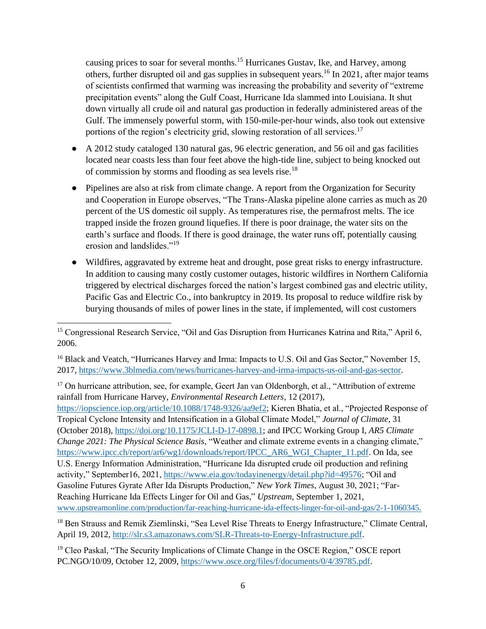causing prices to soar for several months.<sup>15</sup> Hurricanes Gustav, Ike, and Harvey, among others, further disrupted oil and gas supplies in subsequent years.<sup>16</sup> In 2021, after major teams of scientists confirmed that warming was increasing the probability and severity of "extreme precipitation events" along the Gulf Coast, Hurricane Ida slammed into Louisiana. It shut down virtually all crude oil and natural gas production in federally administered areas of the Gulf. The immensely powerful storm, with 150-mile-per-hour winds, also took out extensive portions of the region's electricity grid, slowing restoration of all services.<sup>17</sup>

- A 2012 study cataloged 130 natural gas, 96 electric generation, and 56 oil and gas facilities located near coasts less than four feet above the high-tide line, subject to being knocked out of commission by storms and flooding as sea levels rise.<sup>18</sup>
- Pipelines are also at risk from climate change. A report from the Organization for Security and Cooperation in Europe observes, "The Trans-Alaska pipeline alone carries as much as 20 percent of the US domestic oil supply. As temperatures rise, the permafrost melts. The ice trapped inside the frozen ground liquefies. If there is poor drainage, the water sits on the earth's surface and floods. If there is good drainage, the water runs off, potentially causing erosion and landslides."<sup>19</sup>
- Wildfires, aggravated by extreme heat and drought, pose great risks to energy infrastructure. In addition to causing many costly customer outages, historic wildfires in Northern California triggered by electrical discharges forced the nation's largest combined gas and electric utility, Pacific Gas and Electric Co., into bankruptcy in 2019. Its proposal to reduce wildfire risk by burying thousands of miles of power lines in the state, if implemented, will cost customers

<sup>17</sup> On hurricane attribution, see, for example, Geert Jan van Oldenborgh, et al., "Attribution of extreme rainfall from Hurricane Harvey, *Environmental Research Letters*, 12 (2017), [https://iopscience.iop.org/article/10.1088/1748-9326/aa9ef2;](https://iopscience.iop.org/article/10.1088/1748-9326/aa9ef2) Kieren Bhatia, et al., "Projected Response of Tropical Cyclone Intensity and Intensification in a Global Climate Model," *Journal of Climate*, 31 (October 2018), [https://doi.org/10.1175/JCLI-D-17-0898.1;](https://doi.org/10.1175/JCLI-D-17-0898.1) and IPCC Working Group I, *AR5 Climate Change 2021: The Physical Science Basis*, "Weather and climate extreme events in a changing climate," [https://www.ipcc.ch/report/ar6/wg1/downloads/report/IPCC\\_AR6\\_WGI\\_Chapter\\_11.pdf.](https://www.ipcc.ch/report/ar6/wg1/downloads/report/IPCC_AR6_WGI_Chapter_11.pdf) On Ida, see U.S. Energy Information Administration, "Hurricane Ida disrupted crude oil production and refining activity," September16, 2021, [https://www.eia.gov/todayinenergy/detail.php?id=49576;](https://www.eia.gov/todayinenergy/detail.php?id=49576) "Oil and Gasoline Futures Gyrate After Ida Disrupts Production," *New York Times*, August 30, 2021; "Far-Reaching Hurricane Ida Effects Linger for Oil and Gas," *Upstream*, September 1, 2021, [www.upstreamonline.com/production/far-reaching-hurricane-ida-effects-linger-for-oil-and-gas/2-1-1060345](http://www.upstreamonline.com/production/far-reaching-hurricane-ida-effects-linger-for-oil-and-gas/2-1-1060345).

<sup>18</sup> Ben Strauss and Remik Ziemlinski, "Sea Level Rise Threats to Energy Infrastructure," Climate Central, April 19, 2012, [http://slr.s3.amazonaws.com/SLR-Threats-to-Energy-Infrastructure.pdf.](http://slr.s3.amazonaws.com/SLR-Threats-to-Energy-Infrastructure.pdf)

<sup>19</sup> Cleo Paskal, "The Security Implications of Climate Change in the OSCE Region," OSCE report PC.NGO/10/09, October 12, 2009, [https://www.osce.org/files/f/documents/0/4/39785.pdf.](https://www.osce.org/files/f/documents/0/4/39785.pdf)

<sup>&</sup>lt;sup>15</sup> Congressional Research Service, "Oil and Gas Disruption from Hurricanes Katrina and Rita," April 6, 2006.

<sup>&</sup>lt;sup>16</sup> Black and Veatch, "Hurricanes Harvey and Irma: Impacts to U.S. Oil and Gas Sector," November 15, 2017, [https://www.3blmedia.com/news/hurricanes-harvey-and-irma-impacts-us-oil-and-gas-sector.](https://www.3blmedia.com/news/hurricanes-harvey-and-irma-impacts-us-oil-and-gas-sector)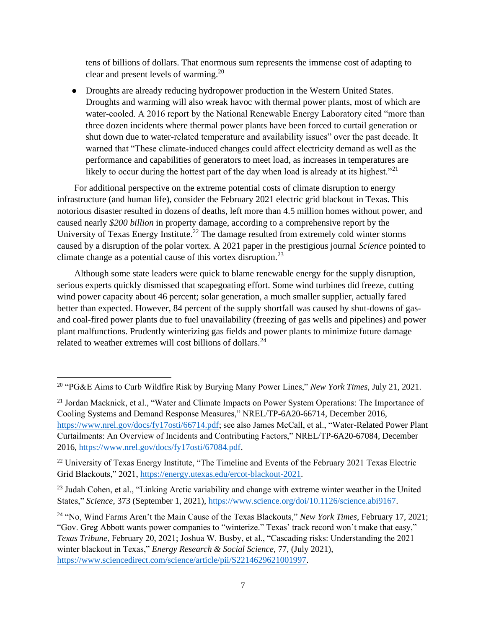tens of billions of dollars. That enormous sum represents the immense cost of adapting to clear and present levels of warming.<sup>20</sup>

● Droughts are already reducing hydropower production in the Western United States. Droughts and warming will also wreak havoc with thermal power plants, most of which are water-cooled. A 2016 report by the National Renewable Energy Laboratory cited "more than three dozen incidents where thermal power plants have been forced to curtail generation or shut down due to water-related temperature and availability issues" over the past decade. It warned that "These climate-induced changes could affect electricity demand as well as the performance and capabilities of generators to meet load, as increases in temperatures are likely to occur during the hottest part of the day when load is already at its highest."<sup>21</sup>

For additional perspective on the extreme potential costs of climate disruption to energy infrastructure (and human life), consider the February 2021 electric grid blackout in Texas. This notorious disaster resulted in dozens of deaths, left more than 4.5 million homes without power, and caused nearly *\$200 billion* in property damage, according to a comprehensive report by the University of Texas Energy Institute.<sup>22</sup> The damage resulted from extremely cold winter storms caused by a disruption of the polar vortex. A 2021 paper in the prestigious journal *Science* pointed to climate change as a potential cause of this vortex disruption.<sup>23</sup>

Although some state leaders were quick to blame renewable energy for the supply disruption, serious experts quickly dismissed that scapegoating effort. Some wind turbines did freeze, cutting wind power capacity about 46 percent; solar generation, a much smaller supplier, actually fared better than expected. However, 84 percent of the supply shortfall was caused by shut-downs of gasand coal-fired power plants due to fuel unavailability (freezing of gas wells and pipelines) and power plant malfunctions. Prudently winterizing gas fields and power plants to minimize future damage related to weather extremes will cost billions of dollars.<sup>24</sup>

<sup>20</sup> "PG&E Aims to Curb Wildfire Risk by Burying Many Power Lines," *New York Times*, July 21, 2021.

<sup>&</sup>lt;sup>21</sup> Jordan Macknick, et al., "Water and Climate Impacts on Power System Operations: The Importance of Cooling Systems and Demand Response Measures," NREL/TP-6A20-66714, December 2016, [https://www.nrel.gov/docs/fy17osti/66714.pdf;](https://www.nrel.gov/docs/fy17osti/66714.pdf) see also James McCall, et al., "Water-Related Power Plant Curtailments: An Overview of Incidents and Contributing Factors," NREL/TP-6A20-67084, December 2016, [https://www.nrel.gov/docs/fy17osti/67084.pdf.](https://www.nrel.gov/docs/fy17osti/67084.pdf)

<sup>&</sup>lt;sup>22</sup> University of Texas Energy Institute, "The Timeline and Events of the February 2021 Texas Electric Grid Blackouts," 2021, [https://energy.utexas.edu/ercot-blackout-2021.](https://energy.utexas.edu/ercot-blackout-2021)

<sup>&</sup>lt;sup>23</sup> Judah Cohen, et al., "Linking Arctic variability and change with extreme winter weather in the United States," *Science*, 373 (September 1, 2021), [https://www.science.org/doi/10.1126/science.abi9167.](https://www.science.org/doi/10.1126/science.abi9167)

<sup>24</sup> "No, Wind Farms Aren't the Main Cause of the Texas Blackouts," *New York Times*, February 17, 2021; "Gov. Greg Abbott wants power companies to "winterize." Texas' track record won't make that easy," *Texas Tribune*, February 20, 2021; Joshua W. Busby, et al., "Cascading risks: Understanding the 2021 winter blackout in Texas," *Energy Research & Social Science,* 77, (July 2021), [https://www.sciencedirect.com/science/article/pii/S2214629621001997.](https://www.sciencedirect.com/science/article/pii/S2214629621001997)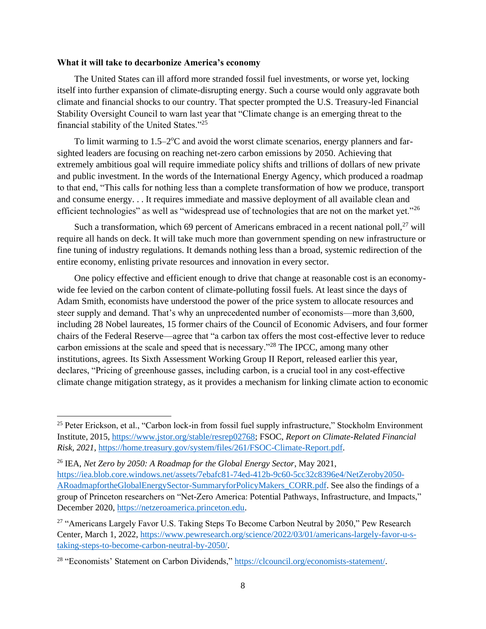## **What it will take to decarbonize America's economy**

The United States can ill afford more stranded fossil fuel investments, or worse yet, locking itself into further expansion of climate-disrupting energy. Such a course would only aggravate both climate and financial shocks to our country. That specter prompted the U.S. Treasury-led Financial Stability Oversight Council to warn last year that "Climate change is an emerging threat to the financial stability of the United States."<sup>25</sup>

To limit warming to 1.5–2°C and avoid the worst climate scenarios, energy planners and farsighted leaders are focusing on reaching net-zero carbon emissions by 2050. Achieving that extremely ambitious goal will require immediate policy shifts and trillions of dollars of new private and public investment. In the words of the International Energy Agency, which produced a roadmap to that end, "This calls for nothing less than a complete transformation of how we produce, transport and consume energy. . . It requires immediate and massive deployment of all available clean and efficient technologies" as well as "widespread use of technologies that are not on the market yet."<sup>26</sup>

Such a transformation, which 69 percent of Americans embraced in a recent national poll, $^{27}$  will require all hands on deck. It will take much more than government spending on new infrastructure or fine tuning of industry regulations. It demands nothing less than a broad, systemic redirection of the entire economy, enlisting private resources and innovation in every sector.

One policy effective and efficient enough to drive that change at reasonable cost is an economywide fee levied on the carbon content of climate-polluting fossil fuels. At least since the days of Adam Smith, economists have understood the power of the price system to allocate resources and steer supply and demand. That's why an unprecedented number of economists—more than 3,600, including 28 Nobel laureates, 15 former chairs of the Council of Economic Advisers, and four former chairs of the Federal Reserve—agree that "a carbon tax offers the most cost-effective lever to reduce carbon emissions at the scale and speed that is necessary."<sup>28</sup> The IPCC, among many other institutions, agrees. Its Sixth Assessment Working Group II Report, released earlier this year, declares, "Pricing of greenhouse gasses, including carbon, is a crucial tool in any cost-effective climate change mitigation strategy, as it provides a mechanism for linking climate action to economic

<sup>&</sup>lt;sup>25</sup> Peter Erickson, et al., "Carbon lock-in from fossil fuel supply infrastructure," Stockholm Environment Institute, 2015, [https://www.jstor.org/stable/resrep02768;](https://www.jstor.org/stable/resrep02768) FSOC, *Report on Climate-Related Financial Risk, 2021*, [https://home.treasury.gov/system/files/261/FSOC-Climate-Report.pdf.](https://home.treasury.gov/system/files/261/FSOC-Climate-Report.pdf)

<sup>26</sup> IEA, *Net Zero by 2050: A Roadmap for the Global Energy Sector*, May 2021, [https://iea.blob.core.windows.net/assets/7ebafc81-74ed-412b-9c60-5cc32c8396e4/NetZeroby2050-](https://iea.blob.core.windows.net/assets/7ebafc81-74ed-412b-9c60-5cc32c8396e4/NetZeroby2050-ARoadmapfortheGlobalEnergySector-SummaryforPolicyMakers_CORR.pdf) [ARoadmapfortheGlobalEnergySector-SummaryforPolicyMakers\\_CORR.pdf.](https://iea.blob.core.windows.net/assets/7ebafc81-74ed-412b-9c60-5cc32c8396e4/NetZeroby2050-ARoadmapfortheGlobalEnergySector-SummaryforPolicyMakers_CORR.pdf) See also the findings of a group of Princeton researchers on "Net-Zero America: Potential Pathways, Infrastructure, and Impacts," December 2020, [https://netzeroamerica.princeton.edu.](https://netzeroamerica.princeton.edu/)

<sup>&</sup>lt;sup>27</sup> "Americans Largely Favor U.S. Taking Steps To Become Carbon Neutral by 2050," Pew Research Center, March 1, 2022, [https://www.pewresearch.org/science/2022/03/01/americans-largely-favor-u-s](https://www.pewresearch.org/science/2022/03/01/americans-largely-favor-u-s-taking-steps-to-become-carbon-neutral-by-2050/)[taking-steps-to-become-carbon-neutral-by-2050/.](https://www.pewresearch.org/science/2022/03/01/americans-largely-favor-u-s-taking-steps-to-become-carbon-neutral-by-2050/)

<sup>28</sup> "Economists' Statement on Carbon Dividends," [https://clcouncil.org/economists-statement/.](https://clcouncil.org/economists-statement/)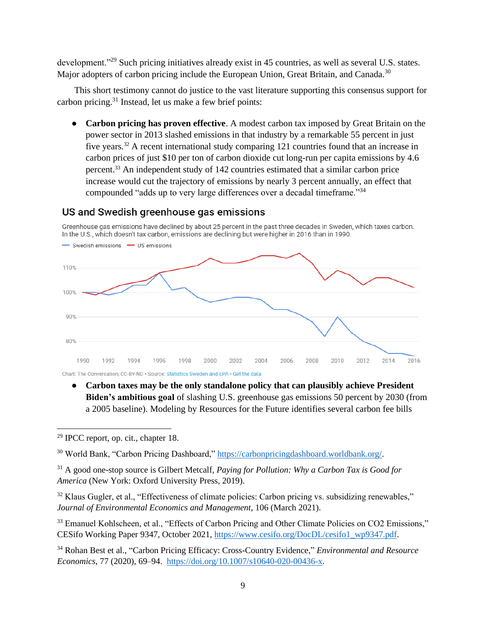development.<sup>"29</sup> Such pricing initiatives already exist in 45 countries, as well as several U.S. states. Major adopters of carbon pricing include the European Union, Great Britain, and Canada.<sup>30</sup>

This short testimony cannot do justice to the vast literature supporting this consensus support for carbon pricing. $31$  Instead, let us make a few brief points:

**Carbon pricing has proven effective**. A modest carbon tax imposed by Great Britain on the power sector in 2013 slashed emissions in that industry by a remarkable 55 percent in just five years.<sup>32</sup> A recent international study comparing 121 countries found that an increase in carbon prices of just \$10 per ton of carbon dioxide cut long-run per capita emissions by 4.6 percent.<sup>33</sup> An independent study of 142 countries estimated that a similar carbon price increase would cut the trajectory of emissions by nearly 3 percent annually, an effect that compounded "adds up to very large differences over a decadal timeframe."<sup>34</sup>

## US and Swedish greenhouse gas emissions

Greenhouse gas emissions have declined by about 25 percent in the past three decades in Sweden, which taxes carbon. In the U.S., which doesn't tax carbon, emissions are declining but were higher in 2016 than in 1990.



● **Carbon taxes may be the only standalone policy that can plausibly achieve President Biden's ambitious goal** of slashing U.S. greenhouse gas emissions 50 percent by 2030 (from a 2005 baseline). Modeling by Resources for the Future identifies several carbon fee bills

 $29$  IPCC report, op. cit., chapter 18.

<sup>&</sup>lt;sup>30</sup> World Bank, "Carbon Pricing Dashboard," [https://carbonpricingdashboard.worldbank.org/.](https://carbonpricingdashboard.worldbank.org/)

<sup>31</sup> A good one-stop source is Gilbert Metcalf, *Paying for Pollution: Why a Carbon Tax is Good for America* (New York: Oxford University Press, 2019).

<sup>&</sup>lt;sup>32</sup> Klaus Gugler, et al., "Effectiveness of climate policies: Carbon pricing vs. subsidizing renewables," *Journal of Environmental Economics and Management*, 106 (March 2021).

<sup>&</sup>lt;sup>33</sup> Emanuel Kohlscheen, et al., "Effects of Carbon Pricing and Other Climate Policies on CO2 Emissions," CESifo Working Paper 9347, October 2021, [https://www.cesifo.org/DocDL/cesifo1\\_wp9347.pdf.](https://www.cesifo.org/DocDL/cesifo1_wp9347.pdf)

<sup>34</sup> Rohan Best et al., "Carbon Pricing Efficacy: Cross-Country Evidence," *Environmental and Resource Economics*, 77 (2020), 69–94. [https://doi.org/10.1007/s10640-020-00436-x.](https://doi.org/10.1007/s10640-020-00436-x)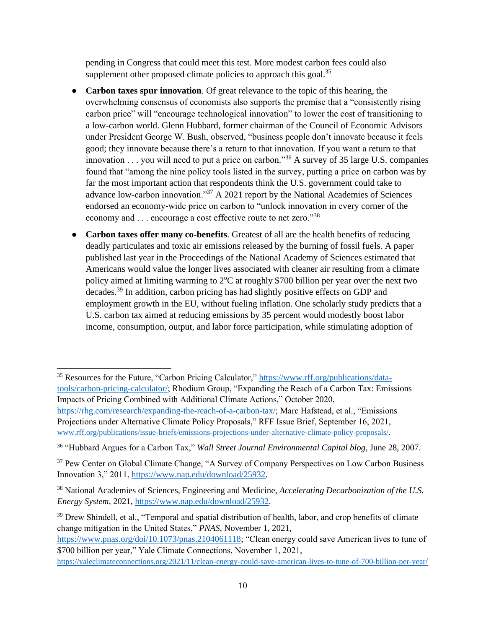pending in Congress that could meet this test. More modest carbon fees could also supplement other proposed climate policies to approach this goal.<sup>35</sup>

- **Carbon taxes spur innovation**. Of great relevance to the topic of this hearing, the overwhelming consensus of economists also supports the premise that a "consistently rising carbon price" will "encourage technological innovation" to lower the cost of transitioning to a low-carbon world. Glenn Hubbard, former chairman of the Council of Economic Advisors under President George W. Bush, observed, "business people don't innovate because it feels good; they innovate because there's a return to that innovation. If you want a return to that innovation  $\ldots$  you will need to put a price on carbon."<sup>36</sup> A survey of 35 large U.S. companies found that "among the nine policy tools listed in the survey, putting a price on carbon was by far the most important action that respondents think the U.S. government could take to advance low-carbon innovation."<sup>37</sup> A 2021 report by the National Academies of Sciences endorsed an economy-wide price on carbon to "unlock innovation in every corner of the economy and . . . encourage a cost effective route to net zero."<sup>38</sup>
- **Carbon taxes offer many co-benefits**. Greatest of all are the health benefits of reducing deadly particulates and toxic air emissions released by the burning of fossil fuels. A paper published last year in the Proceedings of the National Academy of Sciences estimated that Americans would value the longer lives associated with cleaner air resulting from a climate policy aimed at limiting warming to  $2^{\circ}C$  at roughly \$700 billion per year over the next two decades.<sup>39</sup> In addition, carbon pricing has had slightly positive effects on GDP and employment growth in the EU, without fueling inflation. One scholarly study predicts that a U.S. carbon tax aimed at reducing emissions by 35 percent would modestly boost labor income, consumption, output, and labor force participation, while stimulating adoption of

<sup>35</sup> Resources for the Future, "Carbon Pricing Calculator," [https://www.rff.org/publications/data](https://www.rff.org/publications/data-tools/carbon-pricing-calculator/)[tools/carbon-pricing-calculator/;](https://www.rff.org/publications/data-tools/carbon-pricing-calculator/) Rhodium Group, "Expanding the Reach of a Carbon Tax: Emissions Impacts of Pricing Combined with Additional Climate Actions," October 2020, [https://rhg.com/research/expanding-the-reach-of-a-carbon-tax/;](https://rhg.com/research/expanding-the-reach-of-a-carbon-tax/) Marc Hafstead, et al., "Emissions Projections under Alternative Climate Policy Proposals," RFF Issue Brief, September 16, 2021, [www.rff.org/publications/issue-briefs/emissions-projections-under-alternative-climate-policy-proposals/.](https://www.rff.org/publications/issue-briefs/emissions-projections-under-alternative-climate-policy-proposals/)

<sup>36</sup> "Hubbard Argues for a Carbon Tax," *Wall Street Journal Environmental Capital blog*, June 28, 2007.

<sup>&</sup>lt;sup>37</sup> Pew Center on Global Climate Change, "A Survey of Company Perspectives on Low Carbon Business Innovation 3," 2011, [https://www.nap.edu/download/25932.](https://www.nap.edu/download/25932)

<sup>38</sup> National Academies of Sciences, Engineering and Medicine, *Accelerating Decarbonization of the U.S. Energy System*, 2021, [https://www.nap.edu/download/25932.](https://www.nap.edu/download/25932)

<sup>&</sup>lt;sup>39</sup> Drew Shindell, et al., "Temporal and spatial distribution of health, labor, and crop benefits of climate change mitigation in the United States," *PNAS*, November 1, 2021,

[https://www.pnas.org/doi/10.1073/pnas.2104061118;](https://www.pnas.org/doi/10.1073/pnas.2104061118) "Clean energy could save American lives to tune of \$700 billion per year," Yale Climate Connections, November 1, 2021,

[https://yaleclimateconnections.org/2021/11/clean-energy-could-save-american-lives-to-tune-of-700-billion-per-year](https://yaleclimateconnections.org/2021/11/clean-energy-could-save-american-lives-to-tune-of-700-billion-per-year/)[/](https://yaleclimateconnections.org/2021/11/clean-energy-could-save-american-lives-to-tune-of-700-billion-per-year/)